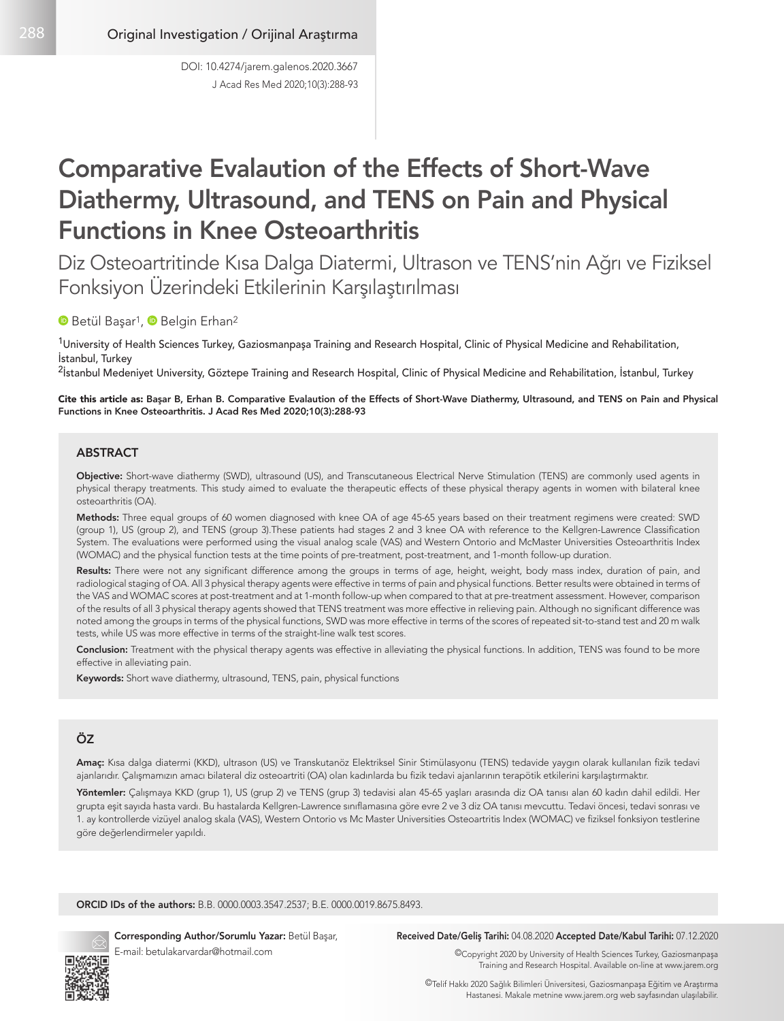J Acad Res Med 2020;10(3):288-93 DOI: 10.4274/jarem.galenos.2020.3667

# Comparative Evalaution of the Effects of Short-Wave Diathermy, Ultrasound, and TENS on Pain and Physical Functions in Knee Osteoarthritis

Diz Osteoartritinde Kısa Dalga Diatermi, Ultrason ve TENS'nin Ağrı ve Fiziksel Fonksiyon Üzerindeki Etkilerinin Karşılaştırılması

## **B** Betül Basar<sup>1</sup>, **B** Belgin Erhan<sup>2</sup>

<sup>1</sup>University of Health Sciences Turkey, Gaziosmanpaşa Training and Research Hospital, Clinic of Physical Medicine and Rehabilitation, İstanbul, Turkey

<sup>2</sup>İstanbul Medeniyet University, Göztepe Training and Research Hospital, Clinic of Physical Medicine and Rehabilitation, İstanbul, Turkey

Cite this article as: Başar B, Erhan B. Comparative Evalaution of the Effects of Short-Wave Diathermy, Ultrasound, and TENS on Pain and Physical Functions in Knee Osteoarthritis. J Acad Res Med 2020;10(3):288-93

### ABSTRACT

Objective: Short-wave diathermy (SWD), ultrasound (US), and Transcutaneous Electrical Nerve Stimulation (TENS) are commonly used agents in physical therapy treatments. This study aimed to evaluate the therapeutic effects of these physical therapy agents in women with bilateral knee osteoarthritis (OA).

Methods: Three equal groups of 60 women diagnosed with knee OA of age 45-65 years based on their treatment regimens were created: SWD (group 1), US (group 2), and TENS (group 3).These patients had stages 2 and 3 knee OA with reference to the Kellgren-Lawrence Classification System. The evaluations were performed using the visual analog scale (VAS) and Western Ontorio and McMaster Universities Osteoarthritis Index (WOMAC) and the physical function tests at the time points of pre-treatment, post-treatment, and 1-month follow-up duration.

Results: There were not any significant difference among the groups in terms of age, height, weight, body mass index, duration of pain, and radiological staging of OA. All 3 physical therapy agents were effective in terms of pain and physical functions. Better results were obtained in terms of the VAS and WOMAC scores at post-treatment and at 1-month follow-up when compared to that at pre-treatment assessment. However, comparison of the results of all 3 physical therapy agents showed that TENS treatment was more effective in relieving pain. Although no significant difference was noted among the groups in terms of the physical functions, SWD was more effective in terms of the scores of repeated sit-to-stand test and 20 m walk tests, while US was more effective in terms of the straight-line walk test scores.

Conclusion: Treatment with the physical therapy agents was effective in alleviating the physical functions. In addition, TENS was found to be more effective in alleviating pain.

Keywords: Short wave diathermy, ultrasound, TENS, pain, physical functions

## ÖZ

Amaç: Kısa dalga diatermi (KKD), ultrason (US) ve Transkutanöz Elektriksel Sinir Stimülasyonu (TENS) tedavide yaygın olarak kullanılan fizik tedavi ajanlarıdır. Çalışmamızın amacı bilateral diz osteoartriti (OA) olan kadınlarda bu fizik tedavi ajanlarının terapötik etkilerini karşılaştırmaktır.

Yöntemler: Çalışmaya KKD (grup 1), US (grup 2) ve TENS (grup 3) tedavisi alan 45-65 yaşları arasında diz OA tanısı alan 60 kadın dahil edildi. Her grupta eşit sayıda hasta vardı. Bu hastalarda Kellgren-Lawrence sınıflamasına göre evre 2 ve 3 diz OA tanısı mevcuttu. Tedavi öncesi, tedavi sonrası ve 1. ay kontrollerde vizüyel analog skala (VAS), Western Ontorio vs Mc Master Universities Osteoartritis Index (WOMAC) ve fiziksel fonksiyon testlerine göre değerlendirmeler yapıldı.

ORCID IDs of the authors: B.B. 0000.0003.3547.2537; B.E. 0000.0019.8675.8493.



Corresponding Author/Sorumlu Yazar: Betül Başar, E-mail: betulakarvardar@hotmail.com

#### Received Date/Geliş Tarihi: 04.08.2020 Accepted Date/Kabul Tarihi: 07.12.2020

©Copyright 2020 by University of Health Sciences Turkey, Gaziosmanpaşa Training and Research Hospital. Available on-line at www.jarem.org

©Telif Hakkı 2020 Sağlık Bilimleri Üniversitesi, Gaziosmanpaşa Eğitim ve Araştırma Hastanesi. Makale metnine www.jarem.org web sayfasından ulaşılabilir.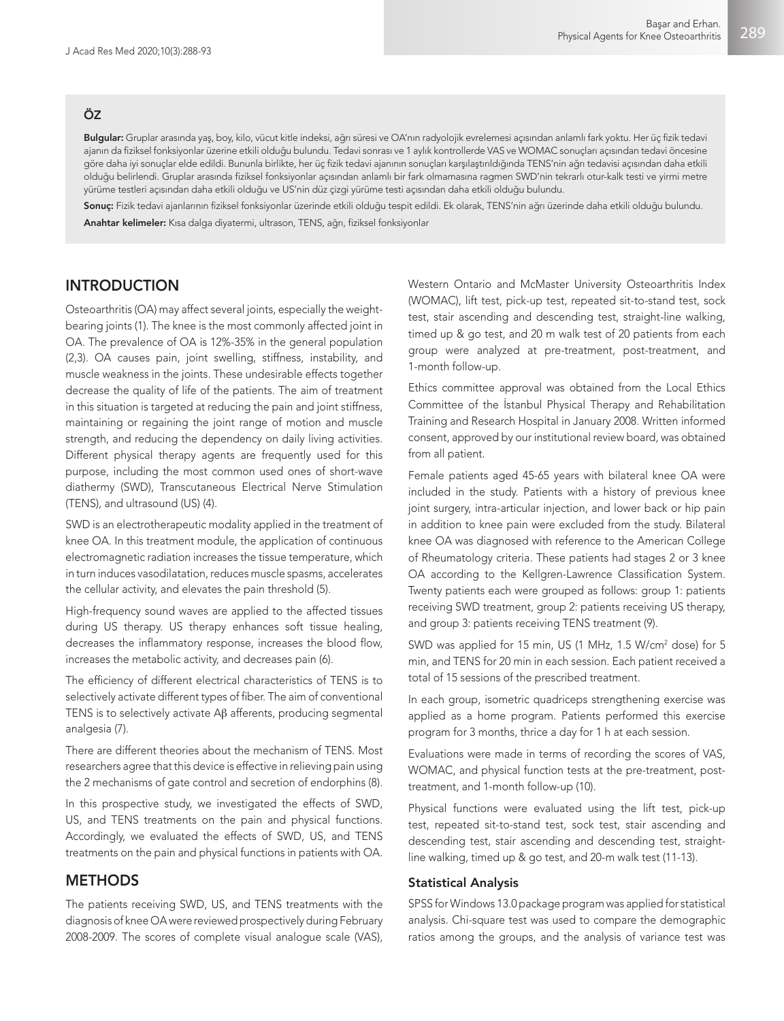## ÖZ

Bulgular: Gruplar arasında yaş, boy, kilo, vücut kitle indeksi, ağrı süresi ve OA'nın radyolojik evrelemesi açısından anlamlı fark yoktu. Her üç fizik tedavi ajanın da fiziksel fonksiyonlar üzerine etkili olduğu bulundu. Tedavi sonrası ve 1 aylık kontrollerde VAS ve WOMAC sonuçları açısından tedavi öncesine göre daha iyi sonuçlar elde edildi. Bununla birlikte, her üç fizik tedavi ajanının sonuçları karşılaştırıldığında TENS'nin ağrı tedavisi açısından daha etkili olduğu belirlendi. Gruplar arasında fiziksel fonksiyonlar açısından anlamlı bir fark olmamasına ragmen SWD'nin tekrarlı otur-kalk testi ve yirmi metre yürüme testleri açısından daha etkili olduğu ve US'nin düz çizgi yürüme testi açısından daha etkili olduğu bulundu.

Sonuç: Fizik tedavi ajanlarının fiziksel fonksiyonlar üzerinde etkili olduğu tespit edildi. Ek olarak, TENS'nin ağrı üzerinde daha etkili olduğu bulundu. Anahtar kelimeler: Kısa dalga diyatermi, ultrason, TENS, ağrı, fiziksel fonksiyonlar

## INTRODUCTION

Osteoarthritis (OA) may affect several joints, especially the weightbearing joints (1). The knee is the most commonly affected joint in OA. The prevalence of OA is 12%-35% in the general population (2,3). OA causes pain, joint swelling, stiffness, instability, and muscle weakness in the joints. These undesirable effects together decrease the quality of life of the patients. The aim of treatment in this situation is targeted at reducing the pain and joint stiffness, maintaining or regaining the joint range of motion and muscle strength, and reducing the dependency on daily living activities. Different physical therapy agents are frequently used for this purpose, including the most common used ones of short-wave diathermy (SWD), Transcutaneous Electrical Nerve Stimulation (TENS), and ultrasound (US) (4).

SWD is an electrotherapeutic modality applied in the treatment of knee OA. In this treatment module, the application of continuous electromagnetic radiation increases the tissue temperature, which in turn induces vasodilatation, reduces muscle spasms, accelerates the cellular activity, and elevates the pain threshold (5).

High-frequency sound waves are applied to the affected tissues during US therapy. US therapy enhances soft tissue healing, decreases the inflammatory response, increases the blood flow, increases the metabolic activity, and decreases pain (6).

The efficiency of different electrical characteristics of TENS is to selectively activate different types of fiber. The aim of conventional TENS is to selectively activate Aβ afferents, producing segmental analgesia (7).

There are different theories about the mechanism of TENS. Most researchers agree that this device is effective in relieving pain using the 2 mechanisms of gate control and secretion of endorphins (8).

In this prospective study, we investigated the effects of SWD, US, and TENS treatments on the pain and physical functions. Accordingly, we evaluated the effects of SWD, US, and TENS treatments on the pain and physical functions in patients with OA.

## METHODS

The patients receiving SWD, US, and TENS treatments with the diagnosis of knee OA were reviewed prospectively during February 2008-2009. The scores of complete visual analogue scale (VAS),

Western Ontario and McMaster University Osteoarthritis Index (WOMAC), lift test, pick-up test, repeated sit-to-stand test, sock test, stair ascending and descending test, straight-line walking, timed up & go test, and 20 m walk test of 20 patients from each group were analyzed at pre-treatment, post-treatment, and 1-month follow-up.

Ethics committee approval was obtained from the Local Ethics Committee of the İstanbul Physical Therapy and Rehabilitation Training and Research Hospital in January 2008. Written informed consent, approved by our institutional review board, was obtained from all patient.

Female patients aged 45-65 years with bilateral knee OA were included in the study. Patients with a history of previous knee joint surgery, intra-articular injection, and lower back or hip pain in addition to knee pain were excluded from the study. Bilateral knee OA was diagnosed with reference to the American College of Rheumatology criteria. These patients had stages 2 or 3 knee OA according to the Kellgren-Lawrence Classification System. Twenty patients each were grouped as follows: group 1: patients receiving SWD treatment, group 2: patients receiving US therapy, and group 3: patients receiving TENS treatment (9).

SWD was applied for 15 min, US (1 MHz, 1.5 W/cm<sup>2</sup> dose) for 5 min, and TENS for 20 min in each session. Each patient received a total of 15 sessions of the prescribed treatment.

In each group, isometric quadriceps strengthening exercise was applied as a home program. Patients performed this exercise program for 3 months, thrice a day for 1 h at each session.

Evaluations were made in terms of recording the scores of VAS, WOMAC, and physical function tests at the pre-treatment, posttreatment, and 1-month follow-up (10).

Physical functions were evaluated using the lift test, pick-up test, repeated sit-to-stand test, sock test, stair ascending and descending test, stair ascending and descending test, straightline walking, timed up & go test, and 20-m walk test (11-13).

## Statistical Analysis

SPSS for Windows 13.0 package program was applied for statistical analysis. Chi-square test was used to compare the demographic ratios among the groups, and the analysis of variance test was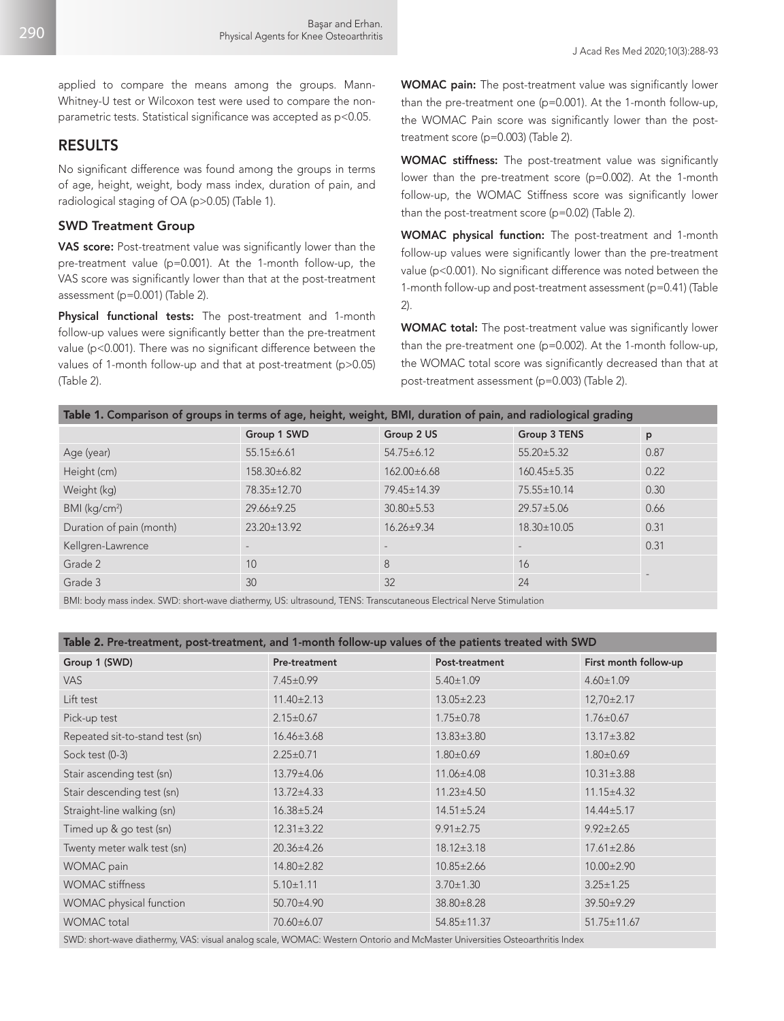applied to compare the means among the groups. Mann-Whitney-U test or Wilcoxon test were used to compare the nonparametric tests. Statistical significance was accepted as p<0.05.

## RESULTS

No significant difference was found among the groups in terms of age, height, weight, body mass index, duration of pain, and radiological staging of OA (p>0.05) (Table 1).

#### SWD Treatment Group

VAS score: Post-treatment value was significantly lower than the pre-treatment value (p=0.001). At the 1-month follow-up, the VAS score was significantly lower than that at the post-treatment assessment (p=0.001) (Table 2).

Physical functional tests: The post-treatment and 1-month follow-up values were significantly better than the pre-treatment value (p<0.001). There was no significant difference between the values of 1-month follow-up and that at post-treatment (p>0.05) (Table 2).

WOMAC pain: The post-treatment value was significantly lower than the pre-treatment one (p=0.001). At the 1-month follow-up, the WOMAC Pain score was significantly lower than the posttreatment score (p=0.003) (Table 2).

WOMAC stiffness: The post-treatment value was significantly lower than the pre-treatment score (p=0.002). At the 1-month follow-up, the WOMAC Stiffness score was significantly lower than the post-treatment score (p=0.02) (Table 2).

WOMAC physical function: The post-treatment and 1-month follow-up values were significantly lower than the pre-treatment value (p<0.001). No significant difference was noted between the 1-month follow-up and post-treatment assessment (p=0.41) (Table 2).

WOMAC total: The post-treatment value was significantly lower than the pre-treatment one (p=0.002). At the 1-month follow-up, the WOMAC total score was significantly decreased than that at post-treatment assessment (p=0.003) (Table 2).

|  | Table 1. Comparison of groups in terms of age, height, weight, BMI, duration of pain, and radiological grading |  |
|--|----------------------------------------------------------------------------------------------------------------|--|
|  |                                                                                                                |  |
|  |                                                                                                                |  |

|                           | Group 1 SWD              | Group 2 US        | Group 3 TENS             | p    |
|---------------------------|--------------------------|-------------------|--------------------------|------|
|                           |                          |                   |                          |      |
| Age (year)                | $55.15 \pm 6.61$         | $54.75 \pm 6.12$  | $55.20 \pm 5.32$         | 0.87 |
| Height (cm)               | 158.30±6.82              | $162.00\pm6.68$   | $160.45 \pm 5.35$        | 0.22 |
| Weight (kg)               | 78.35±12.70              | 79.45±14.39       | 75.55±10.14              | 0.30 |
| BMI (kg/cm <sup>2</sup> ) | $29.66 \pm 9.25$         | $30.80 \pm 5.53$  | $29.57 \pm 5.06$         | 0.66 |
| Duration of pain (month)  | $23.20 \pm 13.92$        | $16.26 \pm 9.34$  | $18.30 \pm 10.05$        | 0.31 |
| Kellgren-Lawrence         | $\overline{\phantom{a}}$ | $\qquad \qquad -$ | $\overline{\phantom{a}}$ | 0.31 |
| Grade 2                   | 10                       | 8                 | 16                       |      |
| Grade 3                   | 30                       | 32                | 24                       |      |
|                           |                          |                   |                          |      |

BMI: body mass index. SWD: short-wave diathermy, US: ultrasound, TENS: Transcutaneous Electrical Nerve Stimulation

## Table 2. Pre-treatment, post-treatment, and 1-month follow-up values of the patients treated with SWD

| Group 1 (SWD)                   | Pre-treatment    | Post-treatment   | First month follow-up |
|---------------------------------|------------------|------------------|-----------------------|
| VAS.                            | $7.45 \pm 0.99$  | $5.40 \pm 1.09$  | $4.60 \pm 1.09$       |
| Lift test                       | $11.40 \pm 2.13$ | $13.05 \pm 2.23$ | $12,70\pm2.17$        |
| Pick-up test                    | $2.15 \pm 0.67$  | $1.75 \pm 0.78$  | $1.76 \pm 0.67$       |
| Repeated sit-to-stand test (sn) | $16.46 \pm 3.68$ | $13.83 \pm 3.80$ | $13.17 \pm 3.82$      |
| Sock test (0-3)                 | $2.25 \pm 0.71$  | $1.80 \pm 0.69$  | $1.80 \pm 0.69$       |
| Stair ascending test (sn)       | 13.79±4.06       | 11.06±4.08       | $10.31 \pm 3.88$      |
| Stair descending test (sn)      | $13.72 \pm 4.33$ | $11.23 \pm 4.50$ | $11.15 \pm 4.32$      |
| Straight-line walking (sn)      | $16.38 \pm 5.24$ | $14.51 \pm 5.24$ | $14.44 \pm 5.17$      |
| Timed up & go test (sn)         | $12.31 \pm 3.22$ | $9.91 \pm 2.75$  | $9.92 \pm 2.65$       |
| Twenty meter walk test (sn)     | $20.36 \pm 4.26$ | $18.12 \pm 3.18$ | $17.61 \pm 2.86$      |
| WOMAC pain                      | 14.80±2.82       | $10.85 \pm 2.66$ | $10.00 \pm 2.90$      |
| <b>WOMAC</b> stiffness          | $5.10 \pm 1.11$  | $3.70 \pm 1.30$  | $3.25 \pm 1.25$       |
| WOMAC physical function         | 50.70±4.90       | 38.80±8.28       | 39.50±9.29            |
| <b>WOMAC</b> total              | 70.60±6.07       | 54.85±11.37      | 51.75±11.67           |
|                                 |                  |                  |                       |

SWD: short-wave diathermy, VAS: visual analog scale, WOMAC: Western Ontorio and McMaster Universities Osteoarthritis Index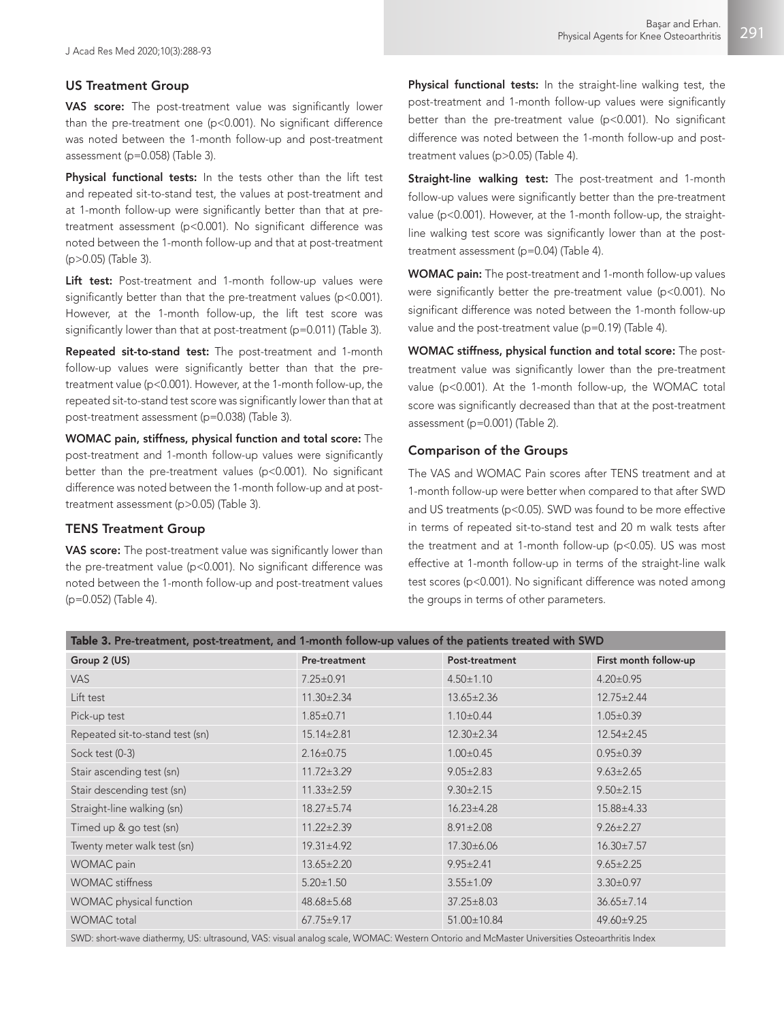# US Treatment Group

VAS score: The post-treatment value was significantly lower than the pre-treatment one (p<0.001). No significant difference was noted between the 1-month follow-up and post-treatment assessment (p=0.058) (Table 3).

Physical functional tests: In the tests other than the lift test and repeated sit-to-stand test, the values at post-treatment and at 1-month follow-up were significantly better than that at pretreatment assessment (p<0.001). No significant difference was noted between the 1-month follow-up and that at post-treatment (p>0.05) (Table 3).

Lift test: Post-treatment and 1-month follow-up values were significantly better than that the pre-treatment values (p<0.001). However, at the 1-month follow-up, the lift test score was significantly lower than that at post-treatment (p=0.011) (Table 3).

Repeated sit-to-stand test: The post-treatment and 1-month follow-up values were significantly better than that the pretreatment value (p<0.001). However, at the 1-month follow-up, the repeated sit-to-stand test score was significantly lower than that at post-treatment assessment (p=0.038) (Table 3).

WOMAC pain, stiffness, physical function and total score: The post-treatment and 1-month follow-up values were significantly better than the pre-treatment values (p<0.001). No significant difference was noted between the 1-month follow-up and at posttreatment assessment (p>0.05) (Table 3).

## TENS Treatment Group

VAS score: The post-treatment value was significantly lower than the pre-treatment value (p<0.001). No significant difference was noted between the 1-month follow-up and post-treatment values (p=0.052) (Table 4).

Physical functional tests: In the straight-line walking test, the post-treatment and 1-month follow-up values were significantly better than the pre-treatment value (p<0.001). No significant difference was noted between the 1-month follow-up and posttreatment values (p>0.05) (Table 4).

Straight-line walking test: The post-treatment and 1-month follow-up values were significantly better than the pre-treatment value (p<0.001). However, at the 1-month follow-up, the straightline walking test score was significantly lower than at the posttreatment assessment (p=0.04) (Table 4).

WOMAC pain: The post-treatment and 1-month follow-up values were significantly better the pre-treatment value (p<0.001). No significant difference was noted between the 1-month follow-up value and the post-treatment value (p=0.19) (Table 4).

WOMAC stiffness, physical function and total score: The posttreatment value was significantly lower than the pre-treatment value (p<0.001). At the 1-month follow-up, the WOMAC total score was significantly decreased than that at the post-treatment assessment (p=0.001) (Table 2).

## Comparison of the Groups

The VAS and WOMAC Pain scores after TENS treatment and at 1-month follow-up were better when compared to that after SWD and US treatments (p<0.05). SWD was found to be more effective in terms of repeated sit-to-stand test and 20 m walk tests after the treatment and at 1-month follow-up (p<0.05). US was most effective at 1-month follow-up in terms of the straight-line walk test scores (p<0.001). No significant difference was noted among the groups in terms of other parameters.

| Table 3. Pre-treatment, post-treatment, and 1-month follow-up values of the patients treated with SWD |  |  |  |  |  |
|-------------------------------------------------------------------------------------------------------|--|--|--|--|--|
|-------------------------------------------------------------------------------------------------------|--|--|--|--|--|

| Group 2 (US)                    | Pre-treatment    | Post-treatment    | First month follow-up |
|---------------------------------|------------------|-------------------|-----------------------|
| VAS                             | $7.25 \pm 0.91$  | $4.50 \pm 1.10$   | $4.20 \pm 0.95$       |
| Lift test                       | $11.30 \pm 2.34$ | $13.65 \pm 2.36$  | $12.75 \pm 2.44$      |
| Pick-up test                    | $1.85 \pm 0.71$  | $1.10 \pm 0.44$   | $1.05 \pm 0.39$       |
| Repeated sit-to-stand test (sn) | $15.14 \pm 2.81$ | $12.30 \pm 2.34$  | $12.54 \pm 2.45$      |
| Sock test (0-3)                 | $2.16 \pm 0.75$  | $1.00 \pm 0.45$   | $0.95 \pm 0.39$       |
| Stair ascending test (sn)       | $11.72 \pm 3.29$ | $9.05 \pm 2.83$   | $9.63 \pm 2.65$       |
| Stair descending test (sn)      | $11.33 \pm 2.59$ | $9.30 \pm 2.15$   | $9.50 \pm 2.15$       |
| Straight-line walking (sn)      | $18.27 \pm 5.74$ | $16.23 \pm 4.28$  | 15.88±4.33            |
| Timed up & go test (sn)         | $11.22 \pm 2.39$ | $8.91 \pm 2.08$   | $9.26 \pm 2.27$       |
| Twenty meter walk test (sn)     | $19.31 \pm 4.92$ | $17.30 \pm 6.06$  | $16.30 \pm 7.57$      |
| WOMAC pain                      | $13.65 \pm 2.20$ | $9.95 \pm 2.41$   | $9.65 \pm 2.25$       |
| <b>WOMAC</b> stiffness          | $5.20 \pm 1.50$  | $3.55 \pm 1.09$   | $3.30 \pm 0.97$       |
| WOMAC physical function         | $48.68 \pm 5.68$ | $37.25 \pm 8.03$  | $36.65 \pm 7.14$      |
| <b>WOMAC</b> total              | $67.75 \pm 9.17$ | $51.00 \pm 10.84$ | 49.60±9.25            |

SWD: short-wave diathermy, US: ultrasound, VAS: visual analog scale, WOMAC: Western Ontorio and McMaster Universities Osteoarthritis Index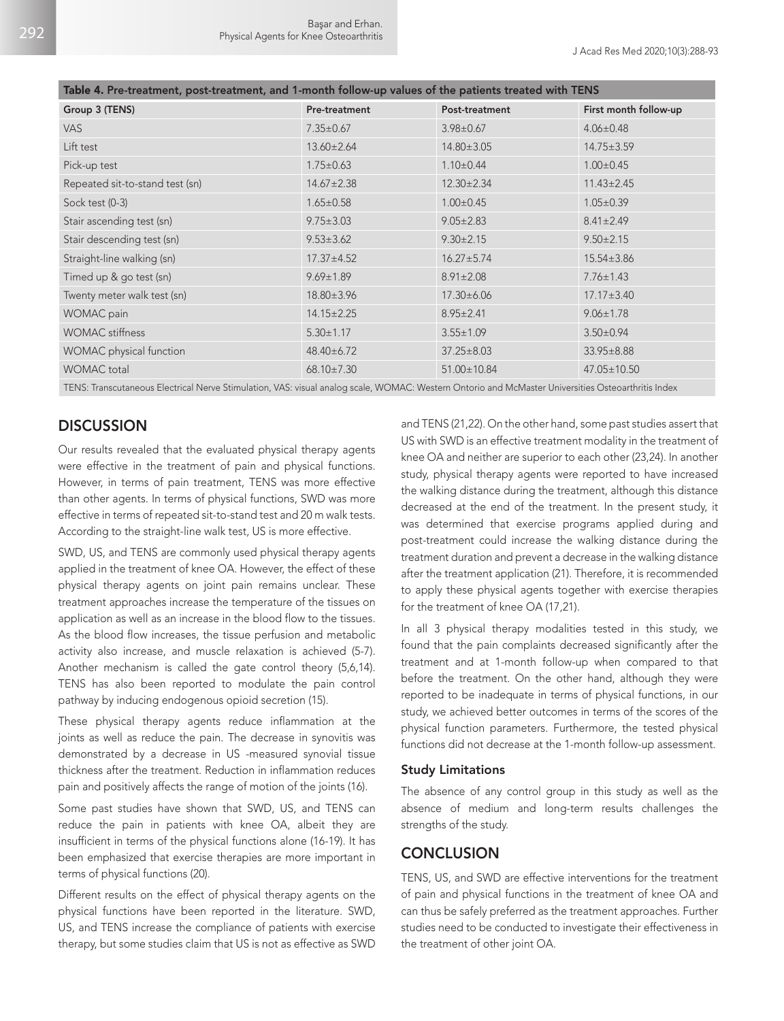| Table 4. Pre-treatment, post-treatment, and 1-month follow-up values of the patients treated with TENS |                  |                  |                       |  |
|--------------------------------------------------------------------------------------------------------|------------------|------------------|-----------------------|--|
| Group 3 (TENS)                                                                                         | Pre-treatment    | Post-treatment   | First month follow-up |  |
| VAS.                                                                                                   | $7.35 \pm 0.67$  | $3.98 \pm 0.67$  | $4.06 \pm 0.48$       |  |
| Lift test                                                                                              | $13.60 \pm 2.64$ | 14.80±3.05       | $14.75 \pm 3.59$      |  |
| Pick-up test                                                                                           | $1.75 \pm 0.63$  | $1.10 \pm 0.44$  | $1.00 \pm 0.45$       |  |
| Repeated sit-to-stand test (sn)                                                                        | $14.67 \pm 2.38$ | $12.30 \pm 2.34$ | $11.43 \pm 2.45$      |  |
| Sock test (0-3)                                                                                        | $1.65 \pm 0.58$  | $1.00 \pm 0.45$  | $1.05 \pm 0.39$       |  |
| Stair ascending test (sn)                                                                              | $9.75 \pm 3.03$  | $9.05 \pm 2.83$  | $8.41 \pm 2.49$       |  |
| Stair descending test (sn)                                                                             | $9.53 \pm 3.62$  | $9.30 \pm 2.15$  | $9.50 \pm 2.15$       |  |
| Straight-line walking (sn)                                                                             | $17.37 \pm 4.52$ | $16.27 \pm 5.74$ | $15.54 \pm 3.86$      |  |
| Timed up & go test (sn)                                                                                | $9.69 \pm 1.89$  | $8.91 \pm 2.08$  | $7.76 \pm 1.43$       |  |
| Twenty meter walk test (sn)                                                                            | 18.80±3.96       | $17.30 \pm 6.06$ | $17.17 \pm 3.40$      |  |
| <b>WOMAC</b> pain                                                                                      | $14.15 \pm 2.25$ | $8.95 \pm 2.41$  | $9.06 \pm 1.78$       |  |
| <b>WOMAC</b> stiffness                                                                                 | $5.30 \pm 1.17$  | $3.55 \pm 1.09$  | $3.50 \pm 0.94$       |  |
| <b>WOMAC</b> physical function                                                                         | 48.40±6.72       | $37.25 \pm 8.03$ | $33.95 \pm 8.88$      |  |
| <b>WOMAC</b> total                                                                                     | $68.10 \pm 7.30$ | 51.00±10.84      | $47.05 \pm 10.50$     |  |
|                                                                                                        |                  |                  |                       |  |

TENS: Transcutaneous Electrical Nerve Stimulation, VAS: visual analog scale, WOMAC: Western Ontorio and McMaster Universities Osteoarthritis Index

## **DISCUSSION**

Our results revealed that the evaluated physical therapy agents were effective in the treatment of pain and physical functions. However, in terms of pain treatment, TENS was more effective than other agents. In terms of physical functions, SWD was more effective in terms of repeated sit-to-stand test and 20 m walk tests. According to the straight-line walk test, US is more effective.

SWD, US, and TENS are commonly used physical therapy agents applied in the treatment of knee OA. However, the effect of these physical therapy agents on joint pain remains unclear. These treatment approaches increase the temperature of the tissues on application as well as an increase in the blood flow to the tissues. As the blood flow increases, the tissue perfusion and metabolic activity also increase, and muscle relaxation is achieved (5-7). Another mechanism is called the gate control theory (5,6,14). TENS has also been reported to modulate the pain control pathway by inducing endogenous opioid secretion (15).

These physical therapy agents reduce inflammation at the joints as well as reduce the pain. The decrease in synovitis was demonstrated by a decrease in US -measured synovial tissue thickness after the treatment. Reduction in inflammation reduces pain and positively affects the range of motion of the joints (16).

Some past studies have shown that SWD, US, and TENS can reduce the pain in patients with knee OA, albeit they are insufficient in terms of the physical functions alone (16-19). It has been emphasized that exercise therapies are more important in terms of physical functions (20).

Different results on the effect of physical therapy agents on the physical functions have been reported in the literature. SWD, US, and TENS increase the compliance of patients with exercise therapy, but some studies claim that US is not as effective as SWD

and TENS (21,22). On the other hand, some past studies assert that US with SWD is an effective treatment modality in the treatment of knee OA and neither are superior to each other (23,24). In another study, physical therapy agents were reported to have increased the walking distance during the treatment, although this distance decreased at the end of the treatment. In the present study, it was determined that exercise programs applied during and post-treatment could increase the walking distance during the treatment duration and prevent a decrease in the walking distance after the treatment application (21). Therefore, it is recommended to apply these physical agents together with exercise therapies for the treatment of knee OA (17,21).

In all 3 physical therapy modalities tested in this study, we found that the pain complaints decreased significantly after the treatment and at 1-month follow-up when compared to that before the treatment. On the other hand, although they were reported to be inadequate in terms of physical functions, in our study, we achieved better outcomes in terms of the scores of the physical function parameters. Furthermore, the tested physical functions did not decrease at the 1-month follow-up assessment.

#### Study Limitations

The absence of any control group in this study as well as the absence of medium and long-term results challenges the strengths of the study.

# **CONCLUSION**

TENS, US, and SWD are effective interventions for the treatment of pain and physical functions in the treatment of knee OA and can thus be safely preferred as the treatment approaches. Further studies need to be conducted to investigate their effectiveness in the treatment of other joint OA.